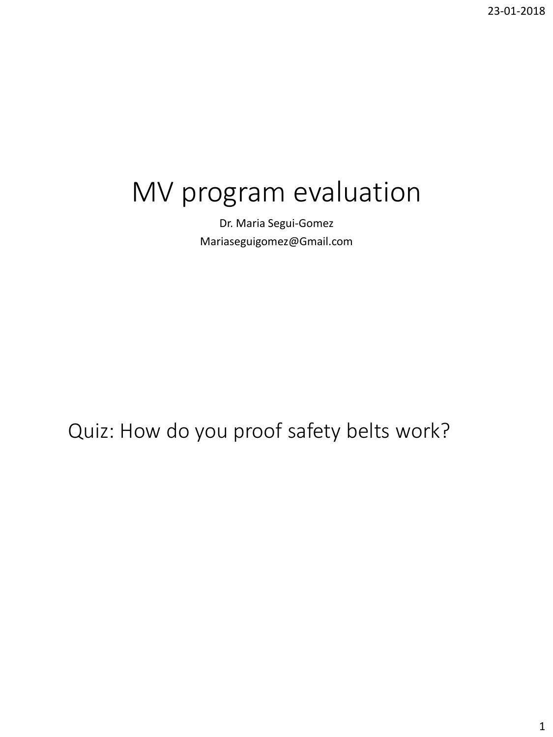# MV program evaluation

Dr. Maria Segui-Gomez Mariaseguigomez@Gmail.com

Quiz: How do you proof safety belts work?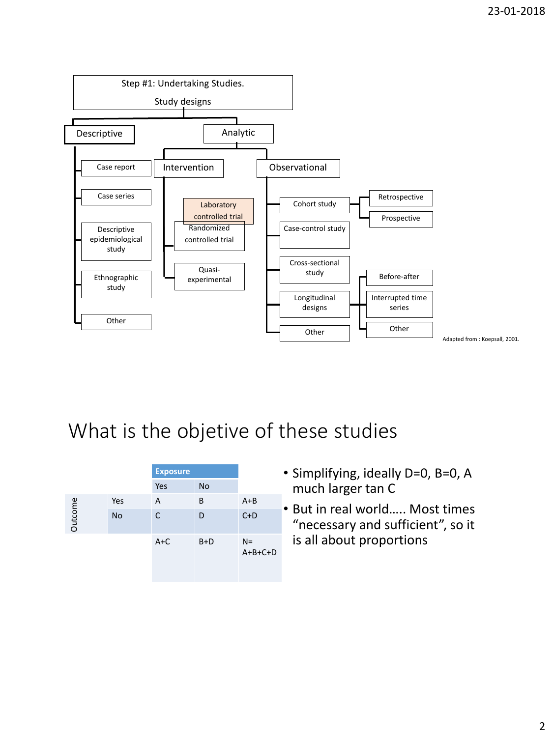

|         |           | <b>Exposure</b> |           |                    |
|---------|-----------|-----------------|-----------|--------------------|
|         |           | Yes             | <b>No</b> |                    |
|         | Yes       | A               | B         | $A + B$            |
| Outcome | <b>No</b> | C               | D         | $C+D$              |
|         |           | $A+C$           | $B+D$     | $N =$<br>$A+B+C+D$ |

- Simplifying, ideally D=0, B=0, A much larger tan C
- But in real world….. Most times "necessary and sufficient", so it is all about proportions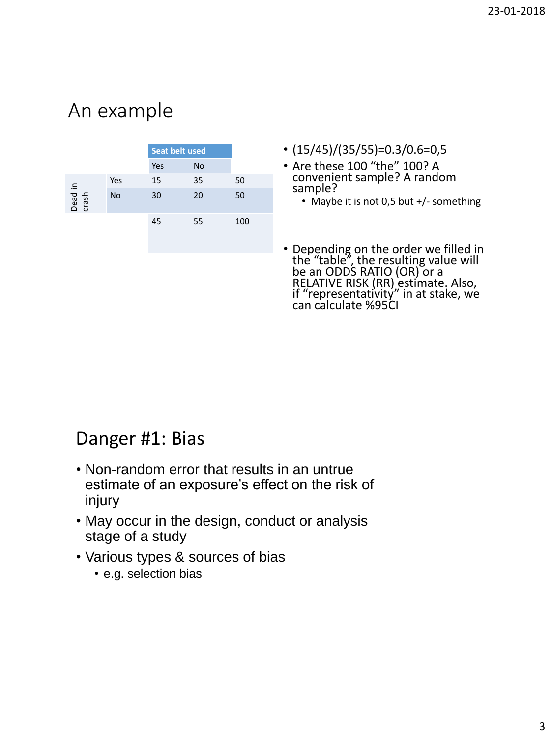## An example

|                  |           | <b>Seat belt used</b> |           |     |  |
|------------------|-----------|-----------------------|-----------|-----|--|
|                  |           | Yes                   | <b>No</b> |     |  |
|                  | Yes       | 15                    | 35        | 50  |  |
| Dead in<br>crash | <b>No</b> | 30                    | 20        | 50  |  |
|                  |           | 45                    | 55        | 100 |  |

- $(15/45)/(35/55)=0.3/0.6=0.5$
- Are these 100 "the" 100? A convenient sample? A random sample?
	- Maybe it is not 0,5 but +/- something
- Depending on the order we filled in the "table", the resulting value will be an ODDS RATIO (OR) or a RELATIVE RISK (RR) estimate. Also, if "representativity" in at stake, we can calculate %95CI

### Danger #1: Bias

- Non-random error that results in an untrue estimate of an exposure's effect on the risk of injury
- May occur in the design, conduct or analysis stage of a study
- Various types & sources of bias
	- e.g. selection bias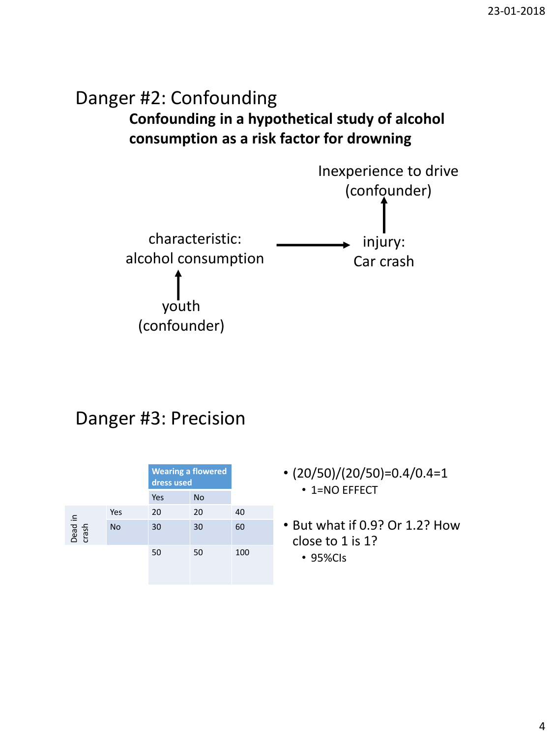### **Confounding in a hypothetical study of alcohol consumption as a risk factor for drowning** Danger #2: Confounding



### Danger #3: Precision

|                  |     | <b>Wearing a flowered</b><br>dress used |           |     |
|------------------|-----|-----------------------------------------|-----------|-----|
|                  |     | Yes                                     | <b>No</b> |     |
|                  | Yes | 20                                      | 20        | 40  |
| Dead in<br>crash | No  | 30                                      | 30        | 60  |
|                  |     | 50                                      | 50        | 100 |

- $\cdot$  (20/50)/(20/50)=0.4/0.4=1 • 1=NO EFFECT
- But what if 0.9? Or 1.2? How close to 1 is 1?
	- 95%CIs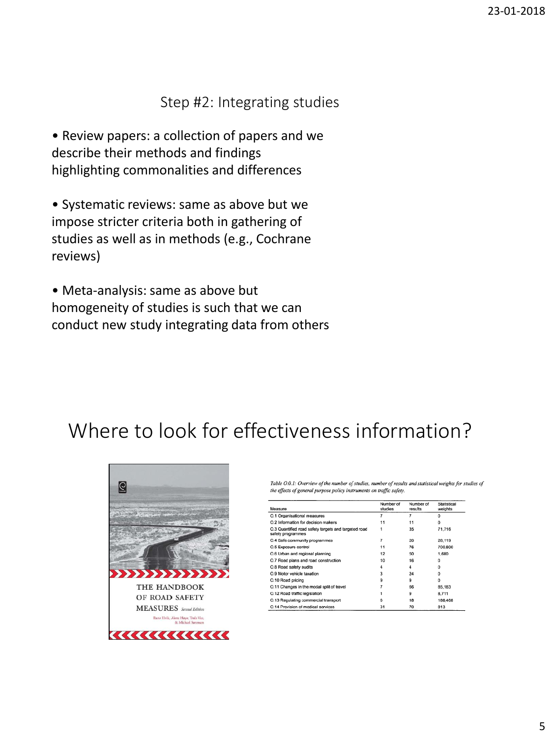#### Step #2: Integrating studies

• Review papers: a collection of papers and we describe their methods and findings highlighting commonalities and differences

• Systematic reviews: same as above but we impose stricter criteria both in gathering of studies as well as in methods (e.g., Cochrane reviews)

• Meta-analysis: same as above but homogeneity of studies is such that we can conduct new study integrating data from others

### Where to look for effectiveness information?



Table O.0.1: Overview of the number of studies, number of results and statistical weights for studies of the effects of general purpose policy instruments on traffic safety.

| Measure                                                                   | Number of<br>studies | Number of<br>results | Statistical<br>weights |
|---------------------------------------------------------------------------|----------------------|----------------------|------------------------|
| O.1 Organisational measures                                               | 7                    | 7                    | $\Omega$               |
| O.2 Information for decision makers                                       | 11                   | 11                   | $\Omega$               |
| O.3 Quantified road safety targets and targeted road<br>safety programmes |                      | 35                   | 71.716                 |
| O.4 Safe community programmes                                             | 7                    | 20                   | 28.119                 |
| O.5 Exposure control                                                      | 11                   | 76                   | 700.800                |
| O.6 Urban and regional planning                                           | 12                   | 50                   | 1,680                  |
| O.7 Road plans and road construction                                      | 10                   | 16                   | o                      |
| O.8 Road safety audits                                                    | 4                    | 4                    | $\Omega$               |
| O.9 Motor vehicle taxation                                                | 3                    | 24                   | o                      |
| O.10 Road pricing                                                         | 9                    | 9                    | $\Omega$               |
| O.11 Changes in the modal split of travel                                 |                      | 66                   | 85,183                 |
| O.12 Road traffic legislation                                             |                      | 9                    | 8.711                  |
| O.13 Regulating commercial transport                                      | 6                    | 18                   | 186,468                |
| O 14 Provision of medical services                                        | 31                   | 70                   | 813                    |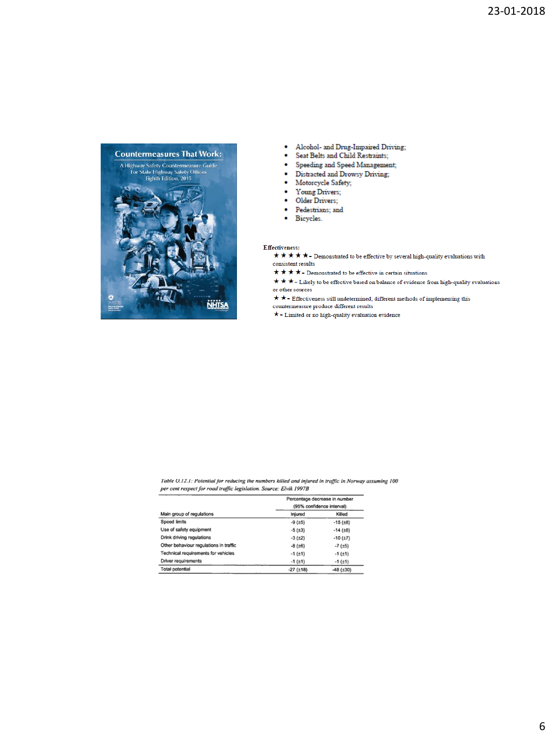

- Alcohol- and Drug-Impaired Driving;
- Seat Belts and Child Restraints;
- Speeding and Speed Management;
- · Distracted and Drowsy Driving;
- Motorcycle Safety;
- ۰ Young Drivers;
- Older Drivers;
- · Pedestrians; and
- · Bicycles.
- 

#### Effectiveness:

- $\bigstar\bigstar\bigstar\bigstar\bigstar$  Demonstrated to be effective by several high-quality evaluations with consistent results
- $\bigstar\bigstar\bigstar\bigstar$  Demonstrated to be effective in certain situations
- or other sources
- $\bigstar\bigstar$  Effectiveness still undetermined; different methods of implementing this
- countermeasure produce different results
- $\star$  Limited or no high-quality evaluation evidence

Table O.12.1: Potential for reducing the numbers killed and injured in traffic in Norway assuming 100 per cent respect for road traffic legislation. Source: Elvik 1997B

|                                        | Percentage decrease in number<br>(95% confidence interval) |                  |
|----------------------------------------|------------------------------------------------------------|------------------|
| Main group of regulations              | Injured                                                    | Killed           |
| Speed limits                           | $-9(±5)$                                                   | $-15$ ( $\pm$ 8) |
| Use of safety equipment                | $-5(±3)$                                                   | $-14(±8)$        |
| Drink driving regulations              | $-3(±2)$                                                   | $-10(.17)$       |
| Other behaviour regulations in traffic | $-8(±6)$                                                   | $-7(.5)$         |
| Technical requirements for vehicles    | $-1$ ( $\pm$ 1)                                            | $-1$ ( $\pm$ 1)  |
| Driver requirements                    | $-1$ ( $\pm$ 1)                                            | $-1$ ( $\pm$ 1)  |
| Total potential                        | $-27$ ( $\pm$ 18)                                          | $-48$ (±30)      |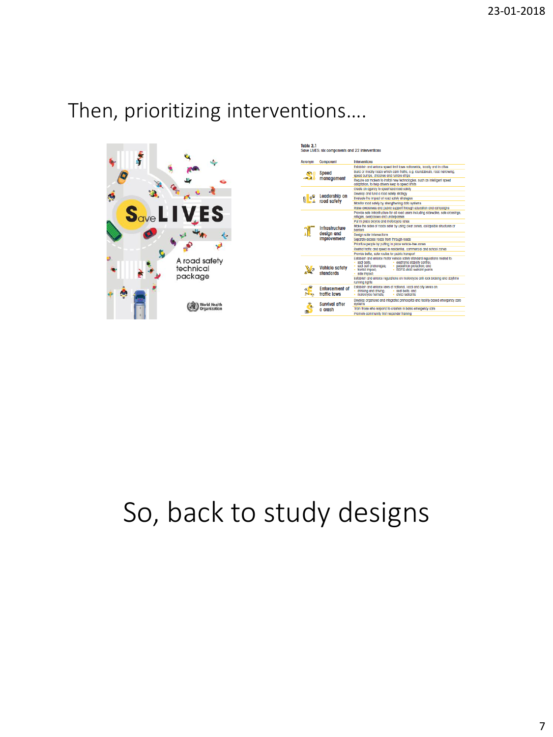## Then, prioritizing interventions….



Table 2.1<br>Save LIVES: six components and 22 Interventions

| Acronym              | Component                                          | <b>Interventions</b>                                                                                                                                                                                                                                             |
|----------------------|----------------------------------------------------|------------------------------------------------------------------------------------------------------------------------------------------------------------------------------------------------------------------------------------------------------------------|
|                      |                                                    | Establish and enforce speed limit laws nationwide, locally and in cities                                                                                                                                                                                         |
| mg                   | <b>Speed</b><br>management                         | Build or modify roads which calm frattic, e.g. roundabouts, road narrowing,<br>speed bumps, chloanes and rumble strips                                                                                                                                           |
|                      |                                                    | Require car makers to install new fechnologies, such as intelligent speed<br>adaptation, to help drivers keep to speed limits                                                                                                                                    |
|                      | Leadership on<br>road safety                       | Create an agency to spearhead road safety                                                                                                                                                                                                                        |
|                      |                                                    | Develop and fund a road safety strategy                                                                                                                                                                                                                          |
| $\mathbb{R}^{\circ}$ |                                                    | Evaluate the impact of road safety strategies                                                                                                                                                                                                                    |
|                      |                                                    | Monitor road safety by strengthening data systems                                                                                                                                                                                                                |
|                      |                                                    | Raise awareness and public support fhrough education and campaians                                                                                                                                                                                               |
|                      |                                                    | Provide sale intrastructure for all road users including sidewalks, sale crossings.<br>refuges, overpasses and underpasses                                                                                                                                       |
|                      |                                                    | Put in place bloycle and motorcycle lanes                                                                                                                                                                                                                        |
|                      | Infrastructure<br>design and<br><i>improvement</i> | Make the sides of roads safer by using clear zones, collapsible structures or<br><b>barriers</b>                                                                                                                                                                 |
|                      |                                                    | <b>Design safer Intersections</b>                                                                                                                                                                                                                                |
|                      |                                                    | Separate access roads from through-roads                                                                                                                                                                                                                         |
|                      |                                                    | Prioritize people by putting in place vehicle-free zones                                                                                                                                                                                                         |
|                      |                                                    | Restrict fraffic and speed in residential, commercial and school zones                                                                                                                                                                                           |
|                      |                                                    | Provide belter, safer routes for public transport                                                                                                                                                                                                                |
|                      | <b>Vehicle safety</b><br>standards                 | Establish and enforce motor vehicle safety standard requigitons related to:<br>· electronic stability control:<br>segt-belts:<br>· seat-belt anchorages:<br>· pedestrian protection: and<br>· trontal impact;<br>· ISOFIX child restraint points<br>side impact: |
|                      |                                                    | Establish and enforce regulations on motorcycle anti-lock braking and daytime<br>running lights                                                                                                                                                                  |
| $\frac{a}{b}$        | <b>Enforcement of</b><br>traffic laws              | Establish and enforce laws at national, local and city levels on:<br>· seat-belts and<br>· drinking and driving:<br>· motorcycle helmets:<br>· child restroints                                                                                                  |
| ô                    | Survival after<br>a crash                          | Develop organized and integrated prehospital and facility-based emergency care<br>systems                                                                                                                                                                        |
|                      |                                                    | Train those who respond to crashes in basic emergency care                                                                                                                                                                                                       |
|                      |                                                    | Promote community first responder training                                                                                                                                                                                                                       |
|                      |                                                    |                                                                                                                                                                                                                                                                  |

# So, back to study designs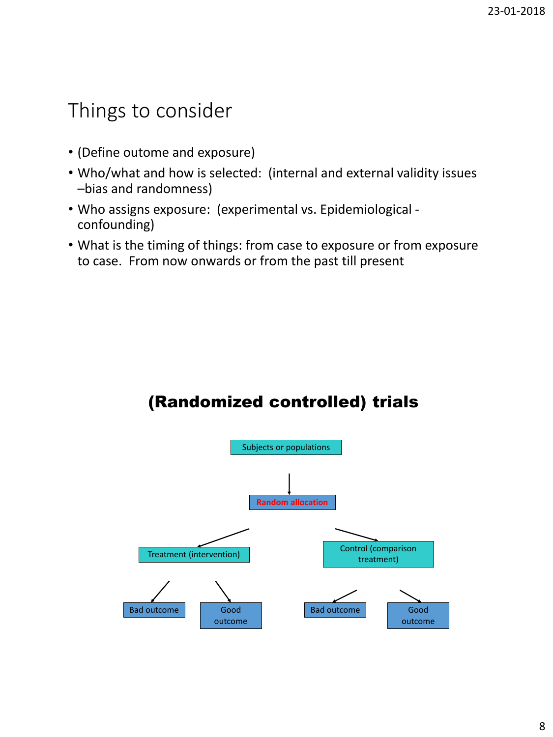### Things to consider

- (Define outome and exposure)
- Who/what and how is selected: (internal and external validity issues –bias and randomness)
- Who assigns exposure: (experimental vs. Epidemiological confounding)
- What is the timing of things: from case to exposure or from exposure to case. From now onwards or from the past till present

#### (Randomized controlled) trials

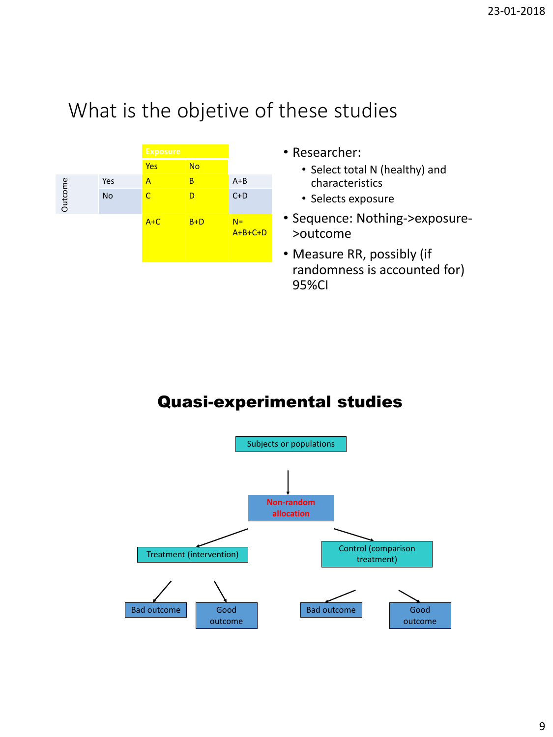

- Researcher:
	- Select total N (healthy) and characteristics
	- Selects exposure
- Sequence: Nothing->exposure- >outcome
- Measure RR, possibly (if randomness is accounted for) 95%CI

#### Quasi-experimental studies

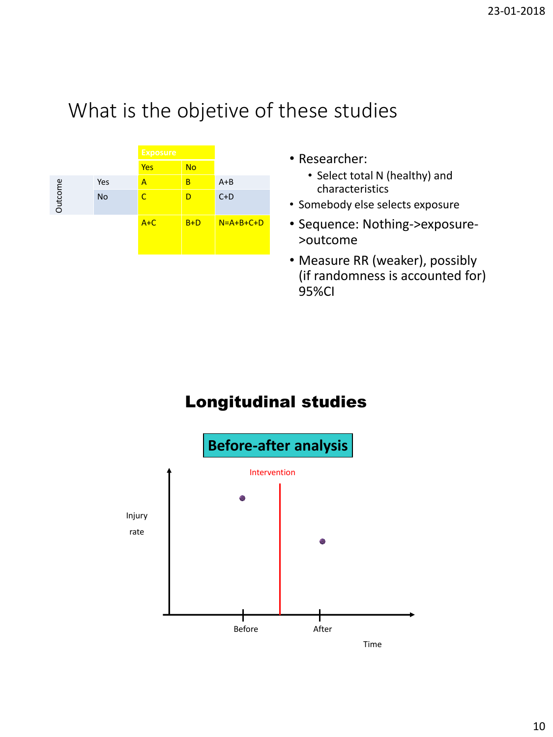

- Researcher:
	- Select total N (healthy) and characteristics
- Somebody else selects exposure
- Sequence: Nothing->exposure- >outcome
- Measure RR (weaker), possibly (if randomness is accounted for) 95%CI

### Longitudinal studies

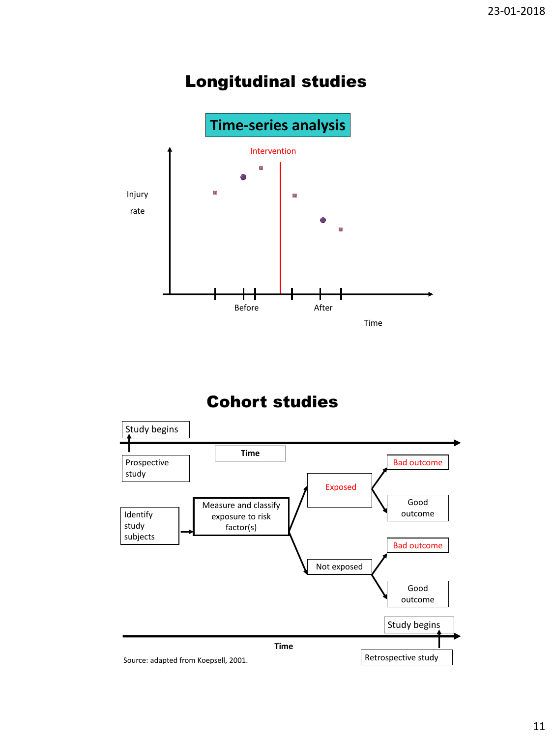### Longitudinal studies



#### Cohort studies

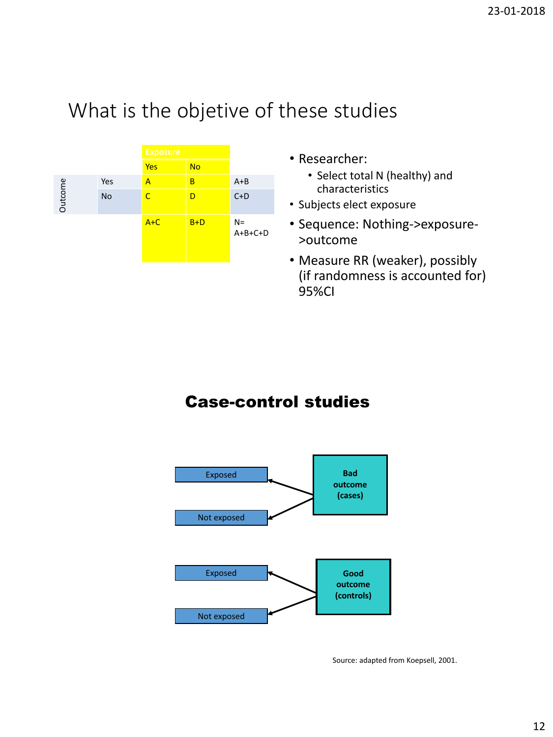

- Researcher:
	- Select total N (healthy) and characteristics
- Subjects elect exposure
- Sequence: Nothing->exposure- >outcome
- Measure RR (weaker), possibly (if randomness is accounted for) 95%CI

#### Case-control studies



Source: adapted from Koepsell, 2001.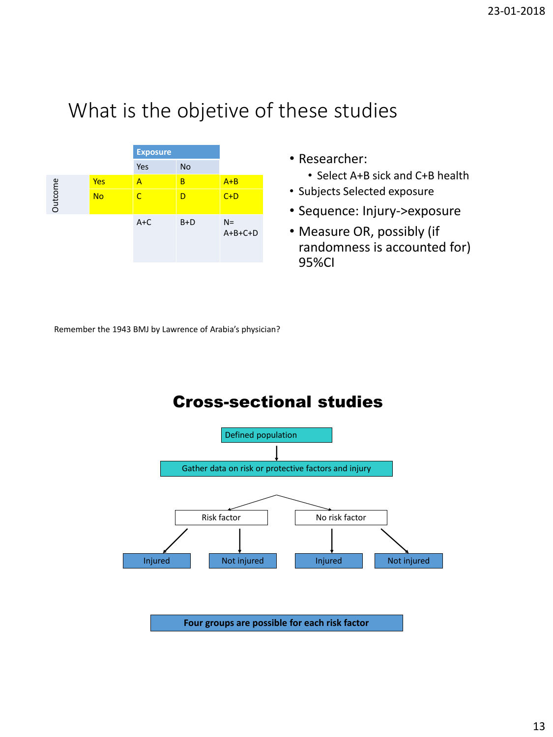

- Researcher:
	- Select A+B sick and C+B health
- Subjects Selected exposure
- Sequence: Injury->exposure
- Measure OR, possibly (if randomness is accounted for) 95%CI

Remember the 1943 BMJ by Lawrence of Arabia's physician?

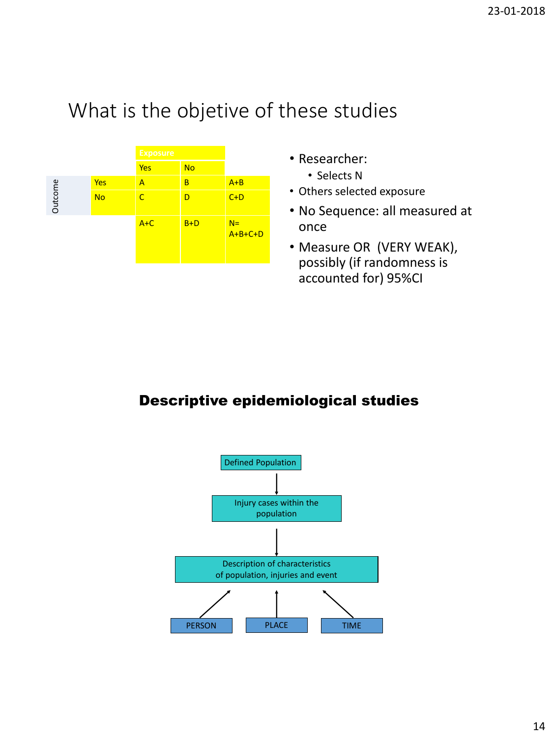

- Researcher:
	- Selects N
- Others selected exposure
- No Sequence: all measured at once
- Measure OR (VERY WEAK), possibly (if randomness is accounted for) 95%CI

#### Descriptive epidemiological studies

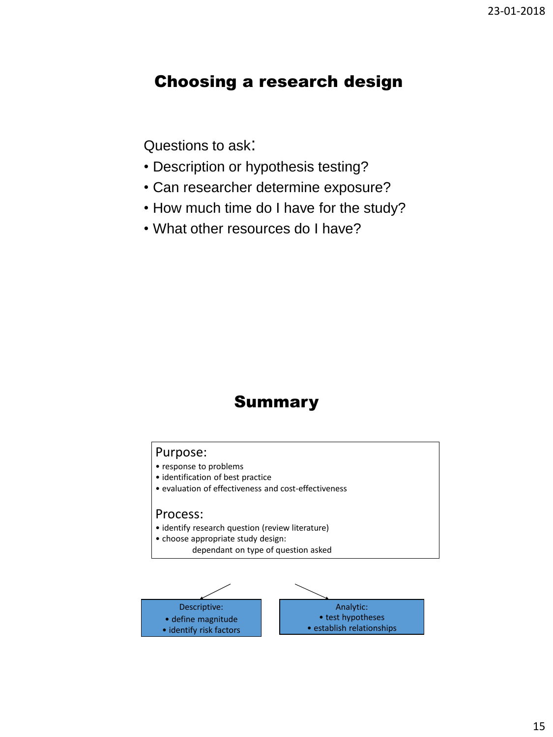#### Choosing a research design

Questions to ask:

- Description or hypothesis testing?
- Can researcher determine exposure?
- How much time do I have for the study?
- What other resources do I have?

#### Summary

#### Purpose: • response to problems • identification of best practice • evaluation of effectiveness and cost-effectiveness Process:

- identify research question (review literature)
- choose appropriate study design: dependant on type of question asked

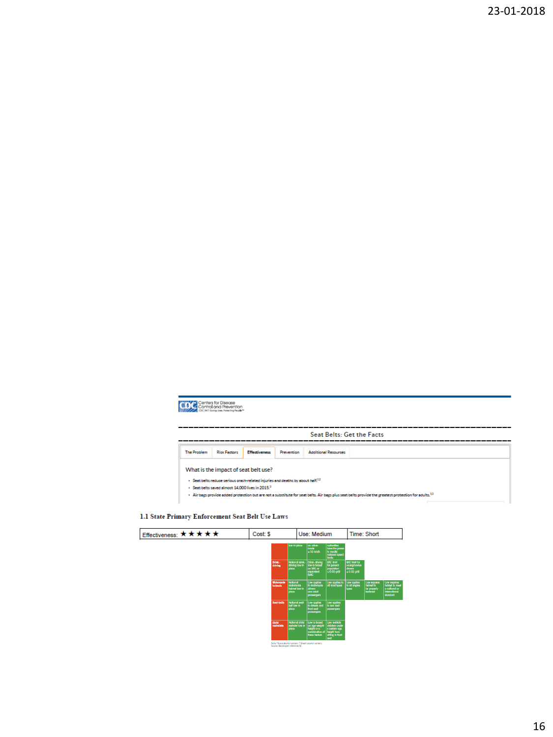



#### 1.1 State Primary Enforcement Seat Belt Use Laws